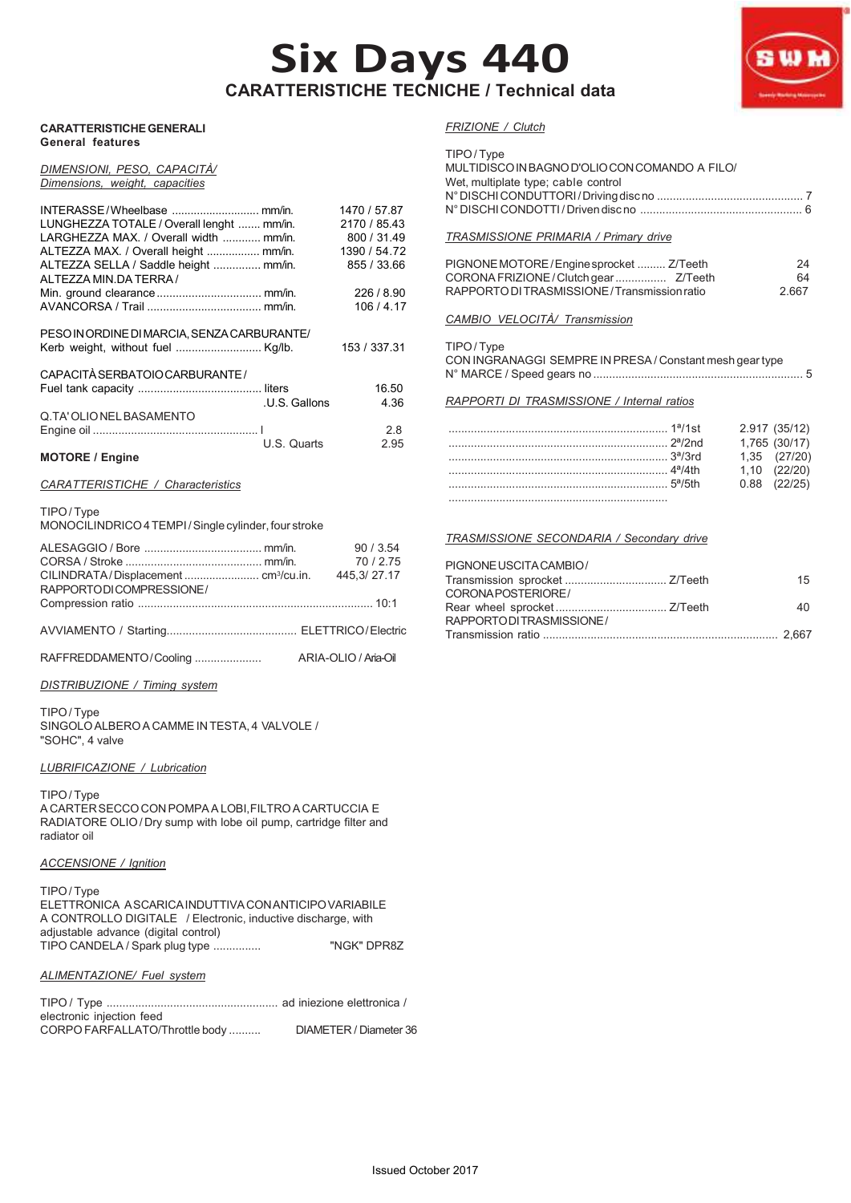# **Six Days 440 CARATTERISTICHE TECNICHE / Technical data**



#### *DIMENSIONI, PESO, CAPACITÀ/ Dimensions, weight, capacities*

|                                             |               | 1470 / 57.87 |
|---------------------------------------------|---------------|--------------|
| LUNGHEZZA TOTALE / Overall lenght  mm/in.   |               | 2170 / 85.43 |
| LARGHEZZA MAX. / Overall width  mm/in.      |               | 800 / 31.49  |
| ALTEZZA MAX. / Overall height  mm/in.       |               | 1390 / 54.72 |
| ALTEZZA SELLA / Saddle height  mm/in.       |               | 855 / 33.66  |
| ALTEZZA MIN DA TERRA /                      |               |              |
|                                             |               | 226/8.90     |
|                                             |               | 106/4.17     |
|                                             |               |              |
| PESO IN ORDINE DI MARCIA, SENZA CARBURANTE/ |               |              |
|                                             |               | 153 / 337.31 |
|                                             |               |              |
| CAPACITÀ SERBATOIO CARBURANTE /             |               |              |
|                                             |               | 16.50        |
|                                             | .U.S. Gallons | 4.36         |
| Q.TA' OLIO NEL BASAMENTO                    |               |              |
|                                             |               | 28           |
|                                             | U.S. Quarts   | 2.95         |

#### **MOTORE / Engine**

#### *CARATTERISTICHE / Characteristics*

#### TIPO / Type

MONOCILINDRICO 4 TEMPI / Single cylinder, four stroke

|                         | 90/3.54              |
|-------------------------|----------------------|
|                         | 70/2.75              |
| RAPPORTODICOMPRESSIONE/ | 445.3/27.17          |
|                         |                      |
|                         |                      |
| RAFFREDDAMENTO/Cooling  | ARIA-OLIO / Aria-Oil |
|                         |                      |

*DISTRIBUZIONE / Timing system*

TIPO / Type SINGOLO ALBERO A CAMME IN TESTA, 4 VALVOLE / "SOHC", 4 valve

#### *LUBRIFICAZIONE / Lubrication*

TIPO / Type A CARTER SECCO CON POMPA A LOBI, FILTRO A CARTUCCIA E RADIATORE OLIO / Dry sump with lobe oil pump, cartridge filter and radiator oil

#### *ACCENSIONE / Ignition*

| TIPO/Type                                                    |             |
|--------------------------------------------------------------|-------------|
| ELETTRONICA ASCARICA INDUTTIVA CONANTICIPO VARIABILE         |             |
| A CONTROLLO DIGITALE / Electronic, inductive discharge, with |             |
| adjustable advance (digital control)                         |             |
| TIPO CANDELA / Spark plug type                               | "NGK" DPR8Z |
|                                                              |             |

#### *ALIMENTAZIONE/ Fuel system*

| electronic injection feed      |                        |
|--------------------------------|------------------------|
| CORPO FARFALLATO/Throttle body | DIAMETER / Diameter 36 |

*FRIZIONE / Clutch*

| TIPO/Type<br>MULTIDISCO IN BAGNO D'OLIO CON COMANDO A FILO/<br>Wet, multiplate type; cable control                               |                                                                                        |  |
|----------------------------------------------------------------------------------------------------------------------------------|----------------------------------------------------------------------------------------|--|
| TRASMISSIONE PRIMARIA / Primary drive                                                                                            |                                                                                        |  |
| PIGNONE MOTORE/Engine sprocket  Z/Teeth<br>CORONA FRIZIONE / Clutch gear  Z/Teeth<br>RAPPORTO DI TRASMISSIONE/Transmission ratio | 24<br>64<br>2.667                                                                      |  |
| CAMBIO VELOCITÀ/ Transmission                                                                                                    |                                                                                        |  |
| TIPO/Type<br>CON INGRANAGGI SEMPRE IN PRESA / Constant mesh gear type                                                            |                                                                                        |  |
| RAPPORTI DI TRASMISSIONE / Internal ratios                                                                                       |                                                                                        |  |
|                                                                                                                                  | 2.917 (35/12)<br>1,765 (30/17)<br>$1,35$ $(27/20)$<br>1,10 (22/20)<br>$0.88$ $(22/25)$ |  |
| TRASMISSIONE SECONDARIA / Secondary drive                                                                                        |                                                                                        |  |
| PIGNONE USCITA CAMBIO/<br>CORONA POSTERIORE /                                                                                    | 15                                                                                     |  |

|                            | 15  |
|----------------------------|-----|
| CORONA POSTERIORE/         |     |
|                            | 40. |
| RAPPORTO DI TRASMISSIONE / |     |
|                            |     |
|                            |     |